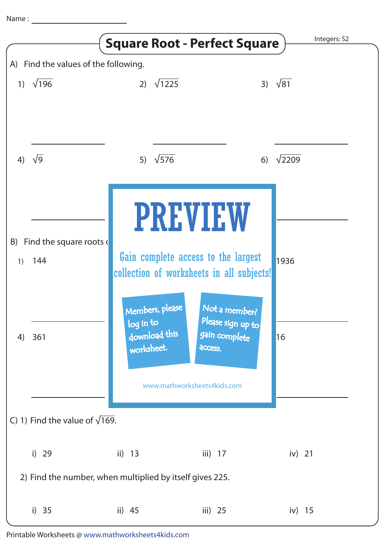|                                                          |                          | <b>Square Root - Perfect Square</b>                         |                                                                                               | Integers: S2  |
|----------------------------------------------------------|--------------------------|-------------------------------------------------------------|-----------------------------------------------------------------------------------------------|---------------|
| A) Find the values of the following.                     |                          |                                                             |                                                                                               |               |
|                                                          | 1) $\sqrt{196}$          | $\sqrt{1225}$<br>2)                                         | 3)                                                                                            | $\sqrt{81}$   |
| 4)                                                       | $\sqrt{9}$               | $\sqrt{576}$<br>5)                                          | 6)                                                                                            | $\sqrt{2209}$ |
|                                                          |                          |                                                             | <b>PREVIEW</b>                                                                                |               |
| B)                                                       | Find the square roots of |                                                             |                                                                                               |               |
| 1)                                                       | 144                      |                                                             | Gain complete access to the largest                                                           | 1936          |
|                                                          |                          |                                                             | collection of worksheets in all subjects!                                                     |               |
| 4)                                                       | 361                      | Members, please<br>log in to<br>download this<br>worksheet. | Not a member?<br>Please sign up to<br>gain complete<br>access.<br>www.mathworksheets4kids.com | 16            |
|                                                          |                          |                                                             |                                                                                               |               |
| C) 1) Find the value of $\sqrt{169}$ .                   |                          |                                                             |                                                                                               |               |
|                                                          | i) 29                    | ii) $13$                                                    | iii) $17$                                                                                     | iv) $21$      |
| 2) Find the number, when multiplied by itself gives 225. |                          |                                                             |                                                                                               |               |
|                                                          | i) $35$                  | ii) $45$                                                    | iii) $25$                                                                                     | iv) $15$      |